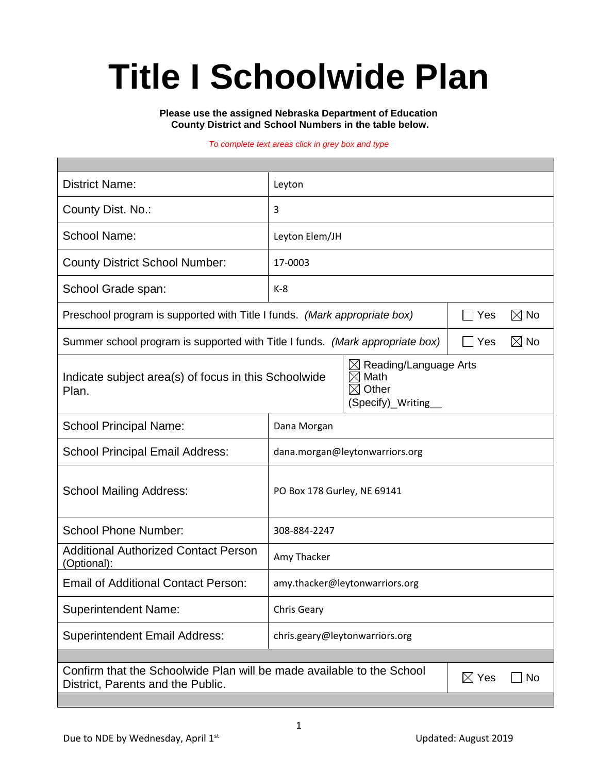# **Title I Schoolwide Plan**

**Please use the assigned Nebraska Department of Education County District and School Numbers in the table below.**

#### *To complete text areas click in grey box and type*

| <b>District Name:</b>                                                                                                                                                    | Leyton                         |  |  |  |  |  |
|--------------------------------------------------------------------------------------------------------------------------------------------------------------------------|--------------------------------|--|--|--|--|--|
| County Dist. No.:                                                                                                                                                        | 3                              |  |  |  |  |  |
| <b>School Name:</b>                                                                                                                                                      | Leyton Elem/JH                 |  |  |  |  |  |
| <b>County District School Number:</b>                                                                                                                                    | 17-0003                        |  |  |  |  |  |
| School Grade span:                                                                                                                                                       | $K-8$                          |  |  |  |  |  |
| Preschool program is supported with Title I funds. (Mark appropriate box)<br>Yes                                                                                         |                                |  |  |  |  |  |
| Summer school program is supported with Title I funds. (Mark appropriate box)<br>$\boxtimes$ No<br>Yes                                                                   |                                |  |  |  |  |  |
| Reading/Language Arts<br>$\boxtimes$<br>Math<br>$\boxtimes$<br>Indicate subject area(s) of focus in this Schoolwide<br>$\boxtimes$ Other<br>Plan.<br>(Specify)_Writing__ |                                |  |  |  |  |  |
| <b>School Principal Name:</b>                                                                                                                                            | Dana Morgan                    |  |  |  |  |  |
| <b>School Principal Email Address:</b>                                                                                                                                   | dana.morgan@leytonwarriors.org |  |  |  |  |  |
| <b>School Mailing Address:</b>                                                                                                                                           | PO Box 178 Gurley, NE 69141    |  |  |  |  |  |
| <b>School Phone Number:</b>                                                                                                                                              | 308-884-2247                   |  |  |  |  |  |
| <b>Additional Authorized Contact Person</b><br>(Optional):                                                                                                               | Amy Thacker                    |  |  |  |  |  |
| <b>Email of Additional Contact Person:</b>                                                                                                                               | amy.thacker@leytonwarriors.org |  |  |  |  |  |
| <b>Superintendent Name:</b>                                                                                                                                              | Chris Geary                    |  |  |  |  |  |
| <b>Superintendent Email Address:</b>                                                                                                                                     | chris.geary@leytonwarriors.org |  |  |  |  |  |
|                                                                                                                                                                          |                                |  |  |  |  |  |
| Confirm that the Schoolwide Plan will be made available to the School<br>$\boxtimes$ Yes<br><b>No</b><br>District, Parents and the Public.                               |                                |  |  |  |  |  |
|                                                                                                                                                                          |                                |  |  |  |  |  |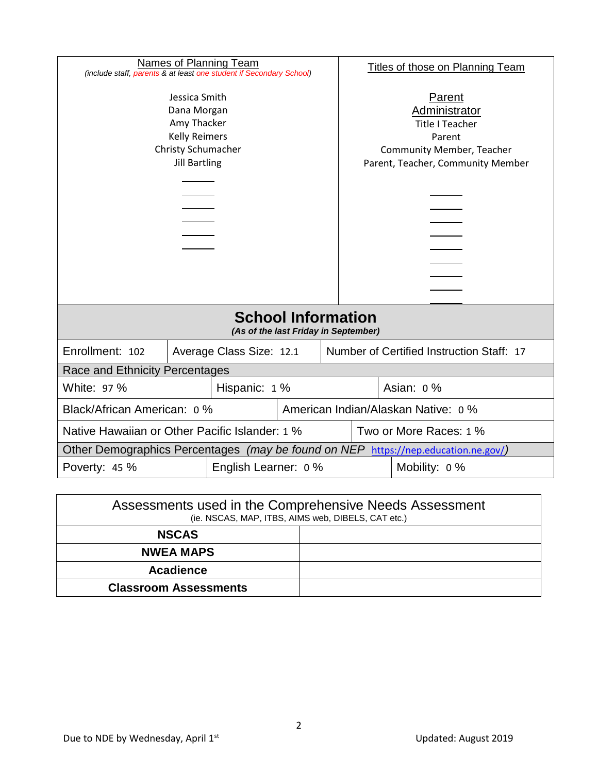| Names of Planning Team<br>(include staff, parents & at least one student if Secondary School)                     |                                                                       |  |                                                                                                                                      | <b>Titles of those on Planning Team</b> |           |  |  |
|-------------------------------------------------------------------------------------------------------------------|-----------------------------------------------------------------------|--|--------------------------------------------------------------------------------------------------------------------------------------|-----------------------------------------|-----------|--|--|
| Jessica Smith<br>Dana Morgan<br>Amy Thacker<br><b>Kelly Reimers</b><br>Christy Schumacher<br><b>Jill Bartling</b> |                                                                       |  | Parent<br>Administrator<br><b>Title I Teacher</b><br>Parent<br><b>Community Member, Teacher</b><br>Parent, Teacher, Community Member |                                         |           |  |  |
| <b>School Information</b><br>(As of the last Friday in September)                                                 |                                                                       |  |                                                                                                                                      |                                         |           |  |  |
| Enrollment: 102                                                                                                   | Number of Certified Instruction Staff: 17<br>Average Class Size: 12.1 |  |                                                                                                                                      |                                         |           |  |  |
| Race and Ethnicity Percentages                                                                                    |                                                                       |  |                                                                                                                                      |                                         |           |  |  |
| White: 97 %<br>Hispanic: 1 %                                                                                      |                                                                       |  |                                                                                                                                      |                                         | Asian: 0% |  |  |
| Black/African American: 0 %                                                                                       |                                                                       |  |                                                                                                                                      | American Indian/Alaskan Native: 0 %     |           |  |  |
| Native Hawaiian or Other Pacific Islander: 1 %<br>Two or More Races: 1 %                                          |                                                                       |  |                                                                                                                                      |                                         |           |  |  |
| Other Demographics Percentages (may be found on NEP https://nep.education.ne.gov/)                                |                                                                       |  |                                                                                                                                      |                                         |           |  |  |
| English Learner: 0 %<br>Poverty: 45 %<br>Mobility: 0 %                                                            |                                                                       |  |                                                                                                                                      |                                         |           |  |  |

| Assessments used in the Comprehensive Needs Assessment<br>(ie. NSCAS, MAP, ITBS, AIMS web, DIBELS, CAT etc.) |  |  |  |  |
|--------------------------------------------------------------------------------------------------------------|--|--|--|--|
| <b>NSCAS</b>                                                                                                 |  |  |  |  |
| <b>NWEA MAPS</b>                                                                                             |  |  |  |  |
| Acadience                                                                                                    |  |  |  |  |
| <b>Classroom Assessments</b>                                                                                 |  |  |  |  |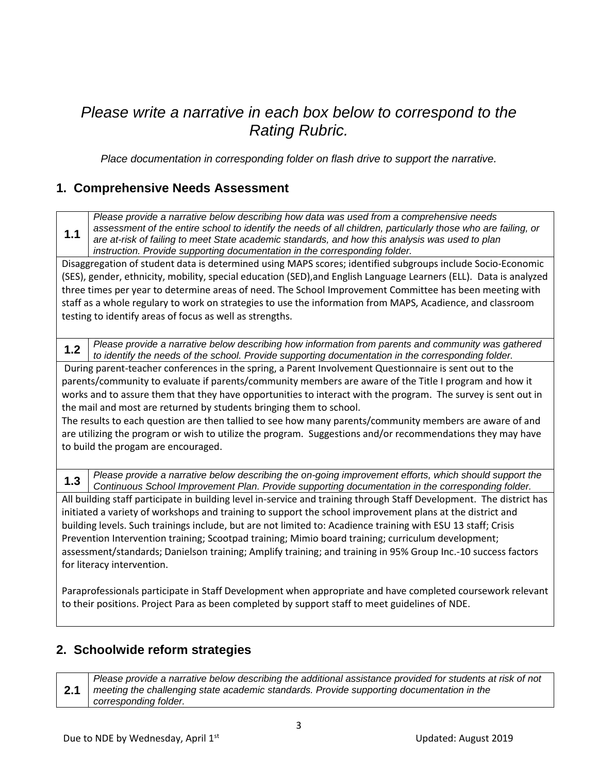# *Please write a narrative in each box below to correspond to the Rating Rubric.*

*Place documentation in corresponding folder on flash drive to support the narrative.*

# **1. Comprehensive Needs Assessment**

**1.1** *Please provide a narrative below describing how data was used from a comprehensive needs assessment of the entire school to identify the needs of all children, particularly those who are failing, or are at-risk of failing to meet State academic standards, and how this analysis was used to plan instruction. Provide supporting documentation in the corresponding folder.*

Disaggregation of student data is determined using MAPS scores; identified subgroups include Socio-Economic (SES), gender, ethnicity, mobility, special education (SED),and English Language Learners (ELL). Data is analyzed three times per year to determine areas of need. The School Improvement Committee has been meeting with staff as a whole regulary to work on strategies to use the information from MAPS, Acadience, and classroom testing to identify areas of focus as well as strengths.

**1.2** *Please provide a narrative below describing how information from parents and community was gathered to identify the needs of the school. Provide supporting documentation in the corresponding folder.*

During parent-teacher conferences in the spring, a Parent Involvement Questionnaire is sent out to the parents/community to evaluate if parents/community members are aware of the Title I program and how it works and to assure them that they have opportunities to interact with the program. The survey is sent out in the mail and most are returned by students bringing them to school.

The results to each question are then tallied to see how many parents/community members are aware of and are utilizing the program or wish to utilize the program. Suggestions and/or recommendations they may have to build the progam are encouraged.

**1.3** *Please provide a narrative below describing the on-going improvement efforts, which should support the Continuous School Improvement Plan. Provide supporting documentation in the corresponding folder.*

All building staff participate in building level in-service and training through Staff Development. The district has initiated a variety of workshops and training to support the school improvement plans at the district and building levels. Such trainings include, but are not limited to: Acadience training with ESU 13 staff; Crisis Prevention Intervention training; Scootpad training; Mimio board training; curriculum development; assessment/standards; Danielson training; Amplify training; and training in 95% Group Inc.-10 success factors for literacy intervention.

Paraprofessionals participate in Staff Development when appropriate and have completed coursework relevant to their positions. Project Para as been completed by support staff to meet guidelines of NDE.

#### **2. Schoolwide reform strategies**

**2.1** *Please provide a narrative below describing the additional assistance provided for students at risk of not meeting the challenging state academic standards. Provide supporting documentation in the corresponding folder.*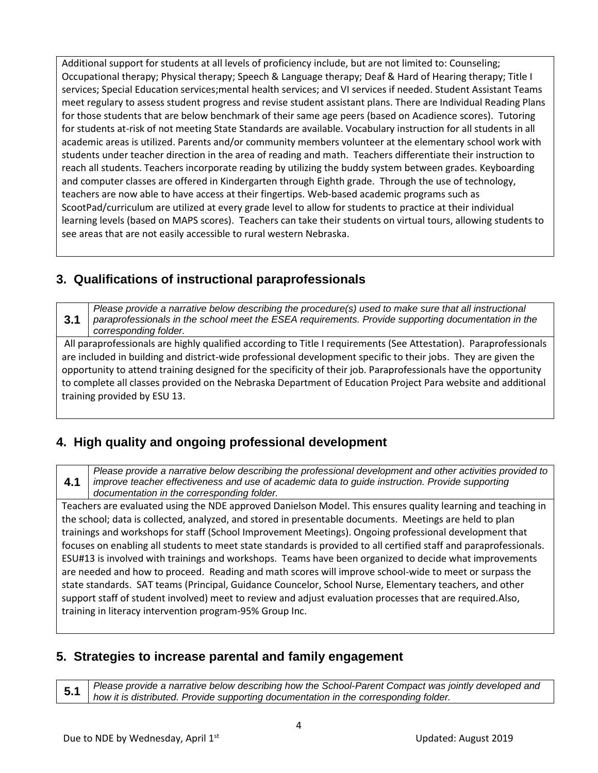Additional support for students at all levels of proficiency include, but are not limited to: Counseling; Occupational therapy; Physical therapy; Speech & Language therapy; Deaf & Hard of Hearing therapy; Title I services; Special Education services;mental health services; and VI services if needed. Student Assistant Teams meet regulary to assess student progress and revise student assistant plans. There are Individual Reading Plans for those students that are below benchmark of their same age peers (based on Acadience scores). Tutoring for students at-risk of not meeting State Standards are available. Vocabulary instruction for all students in all academic areas is utilized. Parents and/or community members volunteer at the elementary school work with students under teacher direction in the area of reading and math. Teachers differentiate their instruction to reach all students. Teachers incorporate reading by utilizing the buddy system between grades. Keyboarding and computer classes are offered in Kindergarten through Eighth grade. Through the use of technology, teachers are now able to have access at their fingertips. Web-based academic programs such as ScootPad/curriculum are utilized at every grade level to allow for students to practice at their individual learning levels (based on MAPS scores). Teachers can take their students on virtual tours, allowing students to see areas that are not easily accessible to rural western Nebraska.

# **3. Qualifications of instructional paraprofessionals**

**3.1** *Please provide a narrative below describing the procedure(s) used to make sure that all instructional paraprofessionals in the school meet the ESEA requirements. Provide supporting documentation in the corresponding folder.*

All paraprofessionals are highly qualified according to Title I requirements (See Attestation). Paraprofessionals are included in building and district-wide professional development specific to their jobs. They are given the opportunity to attend training designed for the specificity of their job. Paraprofessionals have the opportunity to complete all classes provided on the Nebraska Department of Education Project Para website and additional training provided by ESU 13.

# **4. High quality and ongoing professional development**

**4.1** *Please provide a narrative below describing the professional development and other activities provided to improve teacher effectiveness and use of academic data to guide instruction. Provide supporting documentation in the corresponding folder.*

Teachers are evaluated using the NDE approved Danielson Model. This ensures quality learning and teaching in the school; data is collected, analyzed, and stored in presentable documents. Meetings are held to plan trainings and workshops for staff (School Improvement Meetings). Ongoing professional development that focuses on enabling all students to meet state standards is provided to all certified staff and paraprofessionals. ESU#13 is involved with trainings and workshops. Teams have been organized to decide what improvements are needed and how to proceed. Reading and math scores will improve school-wide to meet or surpass the state standards. SAT teams (Principal, Guidance Councelor, School Nurse, Elementary teachers, and other support staff of student involved) meet to review and adjust evaluation processes that are required.Also, training in literacy intervention program-95% Group Inc.

# **5. Strategies to increase parental and family engagement**

**5.1** *Please provide a narrative below describing how the School-Parent Compact was jointly developed and how it is distributed. Provide supporting documentation in the corresponding folder.*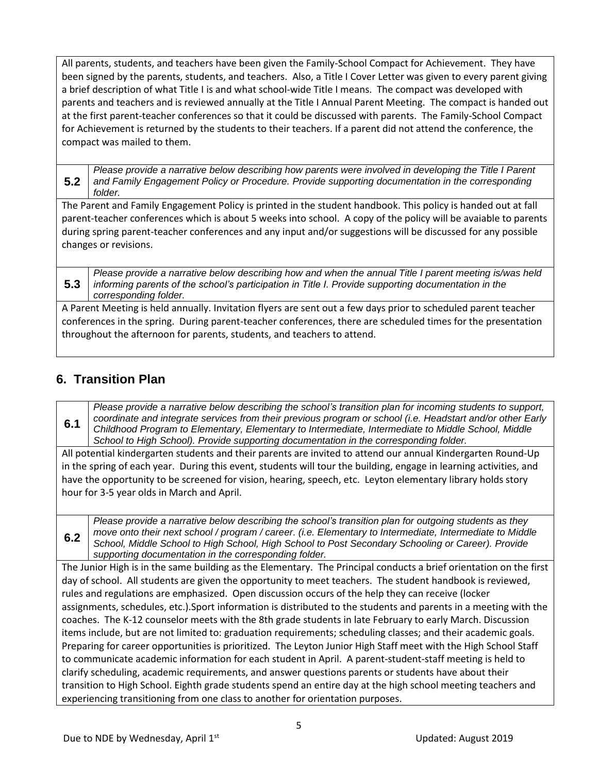All parents, students, and teachers have been given the Family-School Compact for Achievement. They have been signed by the parents, students, and teachers. Also, a Title I Cover Letter was given to every parent giving a brief description of what Title I is and what school-wide Title I means. The compact was developed with parents and teachers and is reviewed annually at the Title I Annual Parent Meeting. The compact is handed out at the first parent-teacher conferences so that it could be discussed with parents. The Family-School Compact for Achievement is returned by the students to their teachers. If a parent did not attend the conference, the compact was mailed to them.

**5.2** *Please provide a narrative below describing how parents were involved in developing the Title I Parent and Family Engagement Policy or Procedure. Provide supporting documentation in the corresponding folder.*

The Parent and Family Engagement Policy is printed in the student handbook. This policy is handed out at fall parent-teacher conferences which is about 5 weeks into school. A copy of the policy will be avaiable to parents during spring parent-teacher conferences and any input and/or suggestions will be discussed for any possible changes or revisions.

**5.3** *Please provide a narrative below describing how and when the annual Title I parent meeting is/was held informing parents of the school's participation in Title I. Provide supporting documentation in the corresponding folder.*

A Parent Meeting is held annually. Invitation flyers are sent out a few days prior to scheduled parent teacher conferences in the spring. During parent-teacher conferences, there are scheduled times for the presentation throughout the afternoon for parents, students, and teachers to attend.

# **6. Transition Plan**

**6.2**

**6.1** *Please provide a narrative below describing the school's transition plan for incoming students to support, coordinate and integrate services from their previous program or school (i.e. Headstart and/or other Early Childhood Program to Elementary, Elementary to Intermediate, Intermediate to Middle School, Middle School to High School). Provide supporting documentation in the corresponding folder.*

All potential kindergarten students and their parents are invited to attend our annual Kindergarten Round-Up in the spring of each year. During this event, students will tour the building, engage in learning activities, and have the opportunity to be screened for vision, hearing, speech, etc. Leyton elementary library holds story hour for 3-5 year olds in March and April.

*Please provide a narrative below describing the school's transition plan for outgoing students as they move onto their next school / program / career. (i.e. Elementary to Intermediate, Intermediate to Middle School, Middle School to High School, High School to Post Secondary Schooling or Career). Provide supporting documentation in the corresponding folder.*

The Junior High is in the same building as the Elementary. The Principal conducts a brief orientation on the first day of school. All students are given the opportunity to meet teachers. The student handbook is reviewed, rules and regulations are emphasized. Open discussion occurs of the help they can receive (locker assignments, schedules, etc.).Sport information is distributed to the students and parents in a meeting with the coaches. The K-12 counselor meets with the 8th grade students in late February to early March. Discussion items include, but are not limited to: graduation requirements; scheduling classes; and their academic goals. Preparing for career opportunities is prioritized. The Leyton Junior High Staff meet with the High School Staff to communicate academic information for each student in April. A parent-student-staff meeting is held to clarify scheduling, academic requirements, and answer questions parents or students have about their transition to High School. Eighth grade students spend an entire day at the high school meeting teachers and experiencing transitioning from one class to another for orientation purposes.